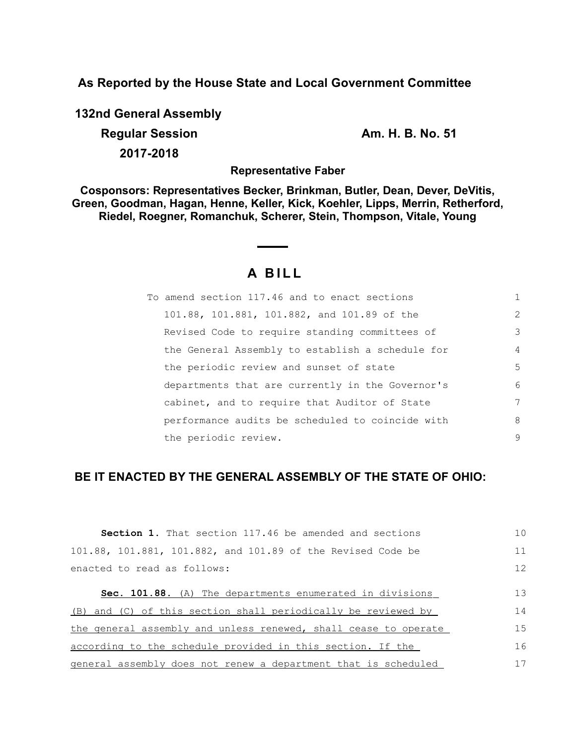**As Reported by the House State and Local Government Committee**

**132nd General Assembly Regular Session Am. H. B. No. 51 2017-2018**

**Representative Faber**

**Cosponsors: Representatives Becker, Brinkman, Butler, Dean, Dever, DeVitis, Green, Goodman, Hagan, Henne, Keller, Kick, Koehler, Lipps, Merrin, Retherford, Riedel, Roegner, Romanchuk, Scherer, Stein, Thompson, Vitale, Young**

# **A B I L L**

| To amend section 117.46 and to enact sections    | 1              |
|--------------------------------------------------|----------------|
| 101.88, 101.881, 101.882, and 101.89 of the      | 2              |
| Revised Code to require standing committees of   | 3              |
| the General Assembly to establish a schedule for | $\overline{4}$ |
| the periodic review and sunset of state          | 5              |
| departments that are currently in the Governor's | 6              |
| cabinet, and to require that Auditor of State    | 7              |
| performance audits be scheduled to coincide with | 8              |
| the periodic review.                             | 9              |

## **BE IT ENACTED BY THE GENERAL ASSEMBLY OF THE STATE OF OHIO:**

| <b>Section 1.</b> That section 117.46 be amended and sections   | 1 <sub>0</sub> |
|-----------------------------------------------------------------|----------------|
| 101.88, 101.881, 101.882, and 101.89 of the Revised Code be     | 11             |
| enacted to read as follows:                                     | 12             |
|                                                                 |                |
| <b>Sec. 101.88.</b> (A) The departments enumerated in divisions | 13             |
| (B) and (C) of this section shall periodically be reviewed by   | 14             |
| the general assembly and unless renewed, shall cease to operate | 15             |
| according to the schedule provided in this section. If the      | 16             |
| general assembly does not renew a department that is scheduled  | 17             |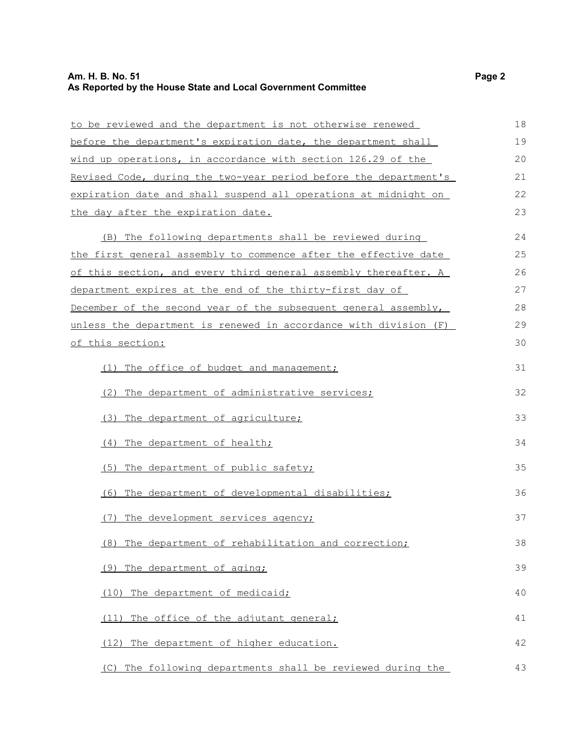## **Am. H. B. No. 51 Page 2 As Reported by the House State and Local Government Committee**

| to be reviewed and the department is not otherwise renewed       | 18 |
|------------------------------------------------------------------|----|
| before the department's expiration date, the department shall    | 19 |
| wind up operations, in accordance with section 126.29 of the     | 20 |
| Revised Code, during the two-year period before the department's | 21 |
| expiration date and shall suspend all operations at midnight on  | 22 |
| the day after the expiration date.                               | 23 |
|                                                                  | 24 |
| (B) The following departments shall be reviewed during           |    |
| the first general assembly to commence after the effective date  | 25 |
| of this section, and every third general assembly thereafter. A  | 26 |
| department expires at the end of the thirty-first day of         | 27 |
| December of the second year of the subsequent general assembly,  | 28 |
| unless the department is renewed in accordance with division (F) | 29 |
| <u>of this section:</u>                                          | 30 |
| (1) The office of budget and management;                         | 31 |
|                                                                  |    |
| (2) The department of administrative services;                   | 32 |
| (3) The department of agriculture;                               | 33 |
| (4) The department of health;                                    | 34 |
| (5) The department of public safety;                             | 35 |
| (6) The department of developmental disabilities;                | 36 |
| (7) The development services agency;                             | 37 |
| (8) The department of rehabilitation and correction;             | 38 |
| (9) The department of aging;                                     | 39 |
| (10) The department of medicaid;                                 | 40 |
| The office of the adjutant general;<br>(11)                      | 41 |
| The department of higher education.<br>(12)                      | 42 |
| (C) The following departments shall be reviewed during the       | 43 |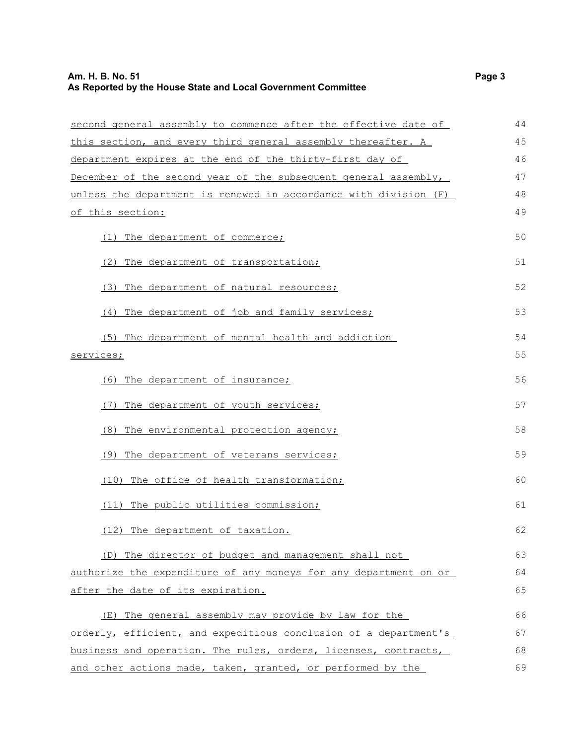## **Am. H. B. No. 51 Page 3 As Reported by the House State and Local Government Committee**

| second general assembly to commence after the effective date of  | 44       |
|------------------------------------------------------------------|----------|
| this section, and every third general assembly thereafter. A     | 45       |
| department expires at the end of the thirty-first day of         | 46       |
| December of the second year of the subsequent general assembly,  | 47       |
| unless the department is renewed in accordance with division (F) | 48       |
| of this section:                                                 | 49       |
| (1) The department of commerce;                                  | 50       |
| (2) The department of transportation;                            | 51       |
| (3) The department of natural resources;                         | 52       |
| (4) The department of job and family services;                   | 53       |
| (5) The department of mental health and addiction<br>services;   | 54<br>55 |
| (6) The department of insurance;                                 | 56       |
| (7) The department of youth services;                            | 57       |
| (8) The environmental protection agency;                         | 58       |
| (9) The department of veterans services;                         | 59       |
| (10) The office of health transformation;                        | 60       |
| (11) The public utilities commission;                            | 61       |
| (12) The department of taxation.                                 | 62       |
| (D) The director of budget and management shall not              | 63       |
| authorize the expenditure of any moneys for any department on or | 64       |
| after the date of its expiration.                                | 65       |
| (E) The general assembly may provide by law for the              | 66       |
| orderly, efficient, and expeditious conclusion of a department's | 67       |
| business and operation. The rules, orders, licenses, contracts,  | 68       |
| and other actions made, taken, granted, or performed by the      | 69       |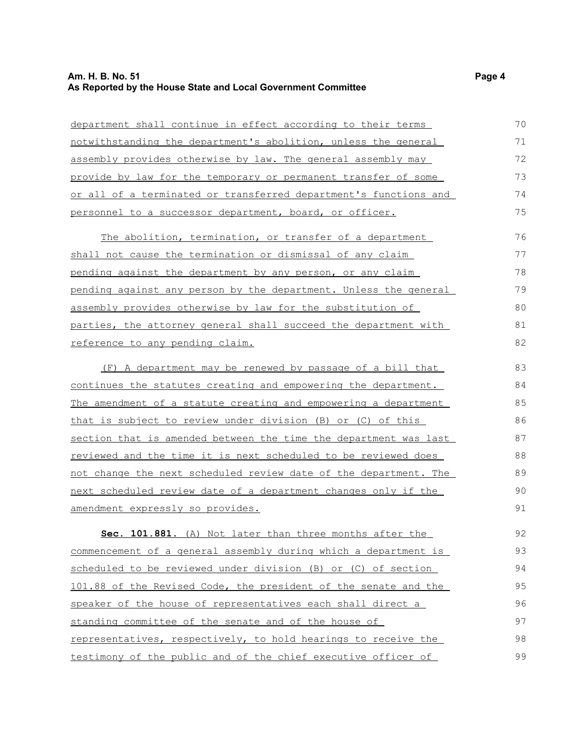## **Am. H. B. No. 51 Page 4 As Reported by the House State and Local Government Committee**

| department shall continue in effect according to their terms           | 70 |
|------------------------------------------------------------------------|----|
| notwithstanding the department's abolition, unless the general         | 71 |
| assembly provides otherwise by law. The general assembly may           | 72 |
| provide by law for the temporary or permanent transfer of some         | 73 |
| or all of a terminated or transferred department's functions and       | 74 |
| personnel to a successor department, board, or officer.                | 75 |
| The abolition, termination, or transfer of a department                | 76 |
| shall not cause the termination or dismissal of any claim              | 77 |
| pending against the department by any person, or any claim             | 78 |
| pending against any person by the department. Unless the general       | 79 |
| assembly provides otherwise by law for the substitution of             | 80 |
| parties, the attorney general shall succeed the department with        | 81 |
| reference to any pending claim.                                        | 82 |
| (F) A department may be renewed by passage of a bill that              | 83 |
| continues the statutes creating and empowering the department.         | 84 |
| <u>The amendment of a statute creating and empowering a department</u> | 85 |
| that is subject to review under division (B) or (C) of this            | 86 |
| section that is amended between the time the department was last       | 87 |
| reviewed and the time it is next scheduled to be reviewed does         | 88 |
| not change the next scheduled review date of the department. The       | 89 |
| next scheduled review date of a department changes only if the         | 90 |
| amendment expressly so provides.                                       | 91 |
| Sec. 101.881. (A) Not later than three months after the                | 92 |
| commencement of a general assembly during which a department is        | 93 |
| scheduled to be reviewed under division (B) or (C) of section          | 94 |
| 101.88 of the Revised Code, the president of the senate and the        | 95 |
| speaker of the house of representatives each shall direct a            | 96 |
| standing committee of the senate and of the house of                   | 97 |
| representatives, respectively, to hold hearings to receive the         | 98 |
| testimony of the public and of the chief executive officer of          | 99 |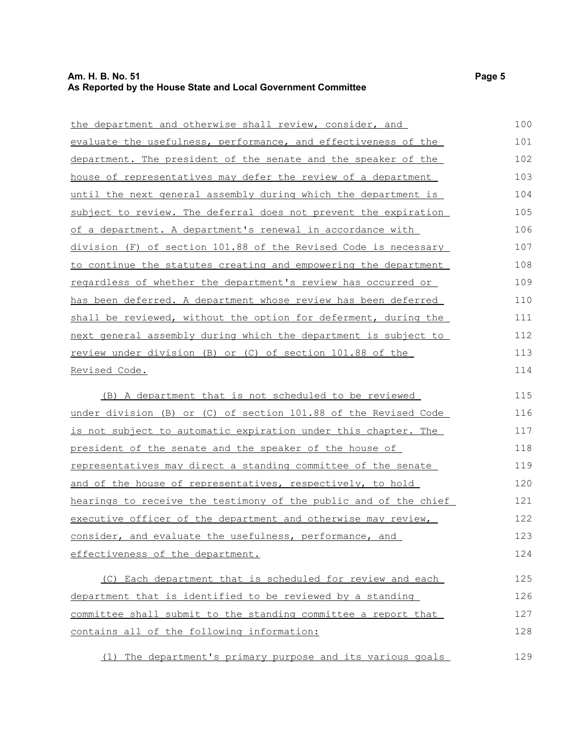#### **Am. H. B. No. 51 Page 5 As Reported by the House State and Local Government Committee**

| the department and otherwise shall review, consider, and               | 100 |
|------------------------------------------------------------------------|-----|
| evaluate the usefulness, performance, and effectiveness of the         | 101 |
| department. The president of the senate and the speaker of the         | 102 |
| house of representatives may defer the review of a department          | 103 |
| <u>until the next general assembly during which the department is</u>  | 104 |
| subject to review. The deferral does not prevent the expiration        | 105 |
| of a department. A department's renewal in accordance with             | 106 |
| division (F) of section 101.88 of the Revised Code is necessary        | 107 |
| to continue the statutes creating and empowering the department        | 108 |
| regardless of whether the department's review has occurred or          | 109 |
| has been deferred. A department whose review has been deferred         | 110 |
| shall be reviewed, without the option for deferment, during the        | 111 |
| <u>next general assembly during which the department is subject to</u> | 112 |
| review under division (B) or (C) of section 101.88 of the              | 113 |
| Revised Code.                                                          | 114 |
| (B) A department that is not scheduled to be reviewed                  | 115 |
| under division (B) or (C) of section 101.88 of the Revised Code        | 116 |
| <u>is not subject to automatic expiration under this chapter. The</u>  | 117 |
| president of the senate and the speaker of the house of                | 118 |
| representatives may direct a standing committee of the senate          | 119 |
| and of the house of representatives, respectively, to hold             | 120 |
| hearings to receive the testimony of the public and of the chief       | 121 |
| executive officer of the department and otherwise may review,          | 122 |
|                                                                        |     |

consider, and evaluate the usefulness, performance, and effectiveness of the department. 123 124

(C) Each department that is scheduled for review and each department that is identified to be reviewed by a standing committee shall submit to the standing committee a report that contains all of the following information: 125 126 127 128

(1) The department's primary purpose and its various goals

129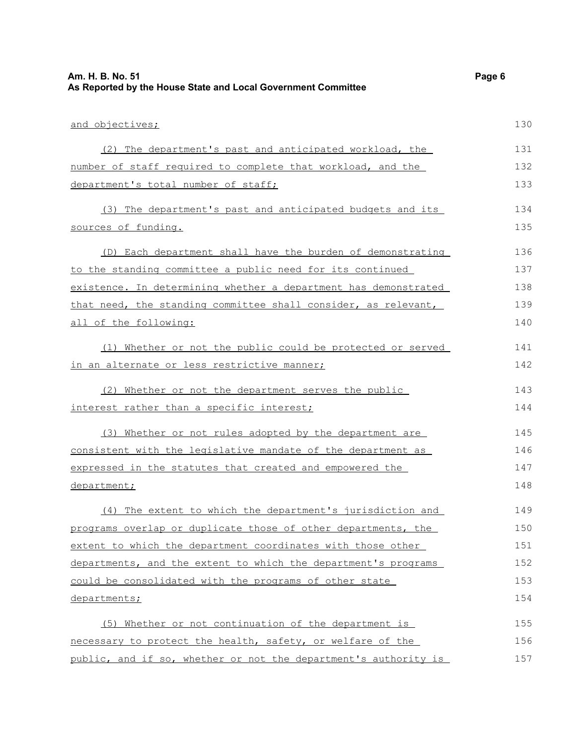| Am. H. B. No. 51<br>As Reported by the House State and Local Government Committee | Page 6 |
|-----------------------------------------------------------------------------------|--------|
| and objectives;                                                                   | 130    |
| (2) The department's past and anticipated workload, the                           | 131    |
| number of staff required to complete that workload, and the                       | 132    |
| department's total number of staff;                                               | 133    |
| (3) The department's past and anticipated budgets and its                         | 134    |
| sources of funding.                                                               | 135    |
| (D) Each department shall have the burden of demonstrating                        | 136    |
| to the standing committee a public need for its continued                         | 137    |
| existence. In determining whether a department has demonstrated                   | 138    |
| that need, the standing committee shall consider, as relevant,                    | 139    |
| all of the following:                                                             | 140    |
| Whether or not the public could be protected or served<br>(1)                     | 141    |
| in an alternate or less restrictive manner;                                       | 142    |
| (2) Whether or not the department serves the public                               | 143    |
| interest rather than a specific interest;                                         | 144    |
| (3) Whether or not rules adopted by the department are                            | 145    |
| consistent with the legislative mandate of the department as                      | 146    |
| expressed in the statutes that created and empowered the                          | 147    |
| department;                                                                       | 148    |
| (4) The extent to which the department's jurisdiction and                         | 149    |
| programs overlap or duplicate those of other departments, the                     | 150    |
| extent to which the department coordinates with those other                       | 151    |
| departments, and the extent to which the department's programs                    | 152    |
| could be consolidated with the programs of other state                            | 153    |
| departments;                                                                      | 154    |
| (5) Whether or not continuation of the department is                              | 155    |
| necessary to protect the health, safety, or welfare of the                        | 156    |
| public, and if so, whether or not the department's authority is                   | 157    |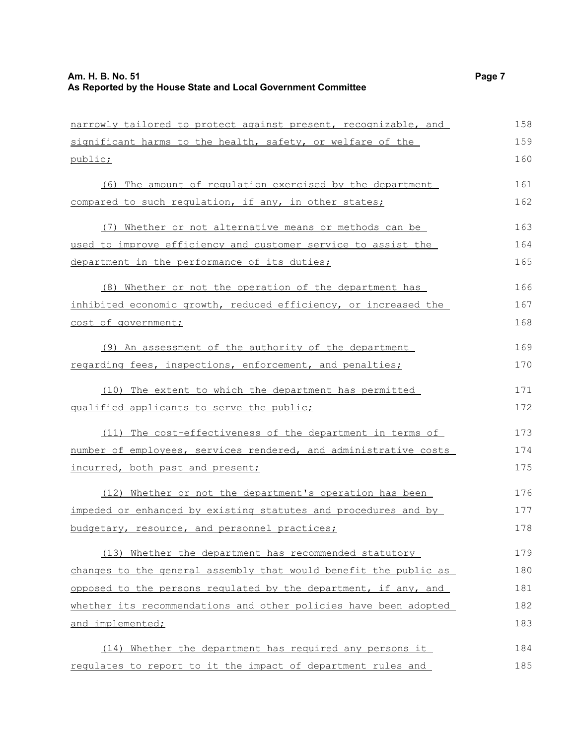narrowly tailored to protect against present, recognizable, and significant harms to the health, safety, or welfare of the public; (6) The amount of regulation exercised by the department compared to such regulation, if any, in other states; (7) Whether or not alternative means or methods can be used to improve efficiency and customer service to assist the department in the performance of its duties; (8) Whether or not the operation of the department has inhibited economic growth, reduced efficiency, or increased the cost of government; (9) An assessment of the authority of the department regarding fees, inspections, enforcement, and penalties; (10) The extent to which the department has permitted qualified applicants to serve the public; (11) The cost-effectiveness of the department in terms of number of employees, services rendered, and administrative costs incurred, both past and present; (12) Whether or not the department's operation has been impeded or enhanced by existing statutes and procedures and by budgetary, resource, and personnel practices; (13) Whether the department has recommended statutory changes to the general assembly that would benefit the public as opposed to the persons regulated by the department, if any, and whether its recommendations and other policies have been adopted and implemented; (14) Whether the department has required any persons it regulates to report to it the impact of department rules and 158 159 160 161 162 163 164 165 166 167 168 169 170 171 172 173 174 175 176 177 178 179 180 181 182 183 184 185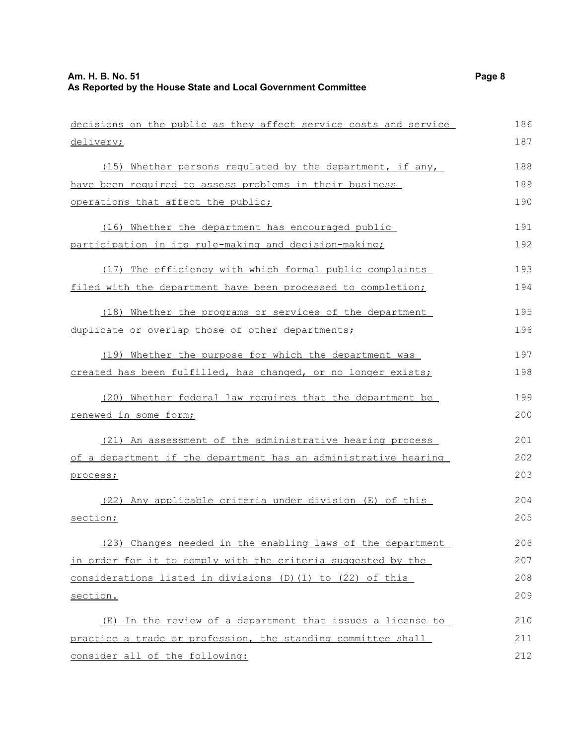| decisions on the public as they affect service costs and service | 186 |
|------------------------------------------------------------------|-----|
| delivery;                                                        | 187 |
| (15) Whether persons regulated by the department, if any,        | 188 |
| have been required to assess problems in their business          | 189 |
| operations that affect the public;                               | 190 |
| (16) Whether the department has encouraged public                | 191 |
| participation in its rule-making and decision-making;            | 192 |
| (17) The efficiency with which formal public complaints          | 193 |
| filed with the department have been processed to completion;     | 194 |
| (18) Whether the programs or services of the department          | 195 |
| duplicate or overlap those of other departments;                 | 196 |
| (19) Whether the purpose for which the department was            | 197 |
| created has been fulfilled, has changed, or no longer exists;    | 198 |
| (20) Whether federal law requires that the department be         | 199 |
| renewed in some form;                                            | 200 |
| (21) An assessment of the administrative hearing process         | 201 |
| of a department if the department has an administrative hearing  | 202 |
| process;                                                         | 203 |
| (22) Any applicable criteria under division (E) of this          | 204 |
| section;                                                         | 205 |
| (23) Changes needed in the enabling laws of the department       | 206 |
| in order for it to comply with the criteria suggested by the     | 207 |
| considerations listed in divisions $(D)$ (1) to (22) of this     | 208 |
| section.                                                         | 209 |
| (E) In the review of a department that issues a license to       | 210 |
| practice a trade or profession, the standing committee shall     | 211 |
| consider all of the following:                                   | 212 |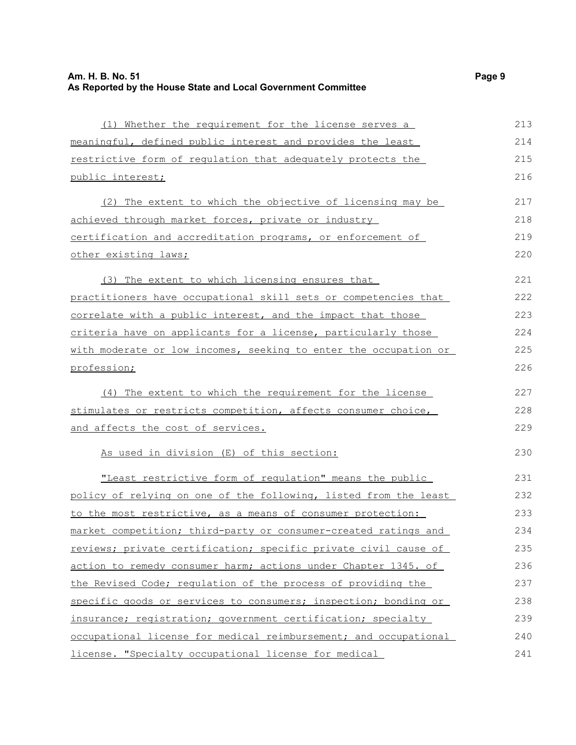| (1) Whether the requirement for the license serves a             | 213 |
|------------------------------------------------------------------|-----|
| meaningful, defined public interest and provides the least       | 214 |
| restrictive form of regulation that adequately protects the      | 215 |
| public interest;                                                 | 216 |
| (2) The extent to which the objective of licensing may be        | 217 |
| achieved through market forces, private or industry              | 218 |
| certification and accreditation programs, or enforcement of      | 219 |
| other existing laws;                                             | 220 |
| (3) The extent to which licensing ensures that                   | 221 |
| practitioners have occupational skill sets or competencies that  | 222 |
| correlate with a public interest, and the impact that those      | 223 |
| criteria have on applicants for a license, particularly those    | 224 |
| with moderate or low incomes, seeking to enter the occupation or | 225 |
| profession;                                                      | 226 |
| (4) The extent to which the requirement for the license          | 227 |
| stimulates or restricts competition, affects consumer choice,    | 228 |
| and affects the cost of services.                                | 229 |
| As used in division (E) of this section:                         | 230 |
| "Least restrictive form of requlation" means the public          | 231 |
| policy of relying on one of the following, listed from the least | 232 |
| to the most restrictive, as a means of consumer protection:      | 233 |
| market competition; third-party or consumer-created ratings and  | 234 |
| reviews; private certification; specific private civil cause of  | 235 |
| action to remedy consumer harm; actions under Chapter 1345. of   | 236 |
| the Revised Code; regulation of the process of providing the     | 237 |
| specific goods or services to consumers; inspection; bonding or  | 238 |
| insurance; registration; government certification; specialty     | 239 |
| occupational license for medical reimbursement; and occupational | 240 |
| license. "Specialty occupational license for medical             | 241 |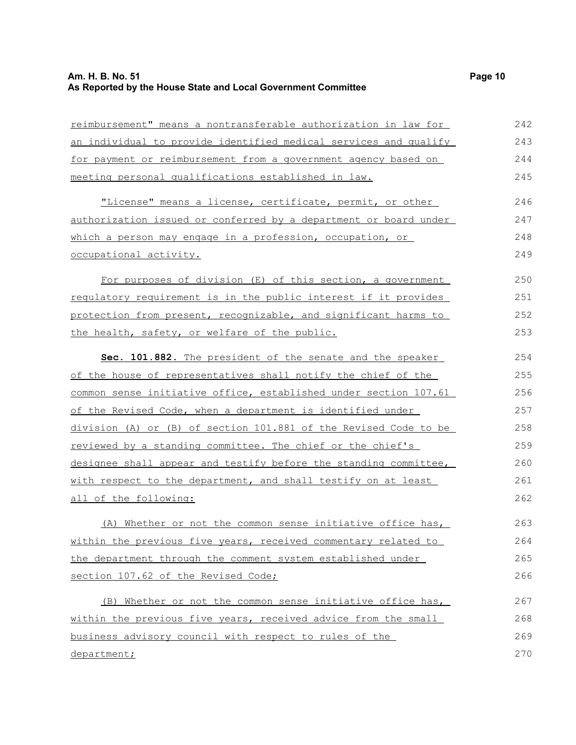### **Am. H. B. No. 51 Page 10 As Reported by the House State and Local Government Committee**

reimbursement" means a nontransferable authorization in law for an individual to provide identified medical services and qualify for payment or reimbursement from a government agency based on meeting personal qualifications established in law. "License" means a license, certificate, permit, or other authorization issued or conferred by a department or board under which a person may engage in a profession, occupation, or occupational activity. For purposes of division (E) of this section, a government regulatory requirement is in the public interest if it provides protection from present, recognizable, and significant harms to the health, safety, or welfare of the public. **S ec. 101.882.** The president of the senate and the speaker of the house of representatives shall notify the chief of the common sense initiative office, established under section 107.61 of the Revised Code, when a department is identified under division (A) or (B) of section 101.881 of the Revised Code to be reviewed by a standing committee. The chief or the chief's designee shall appear and testify before the standing committee, with respect to the department, and shall testify on at least all of the following: (A) Whether or not the common sense initiative office has, within the previous five years, received commentary related to the department through the comment system established under section 107.62 of the Revised Code; (B) Whether or not the common sense initiative office has, 242 243 244 245 246 247 248 249 250 251 252 253 254 255 256 257 258 259 260 261 262 263 264 265 266 267

within the previous five years, received advice from the small business advisory council with respect to rules of the department; 268 269 270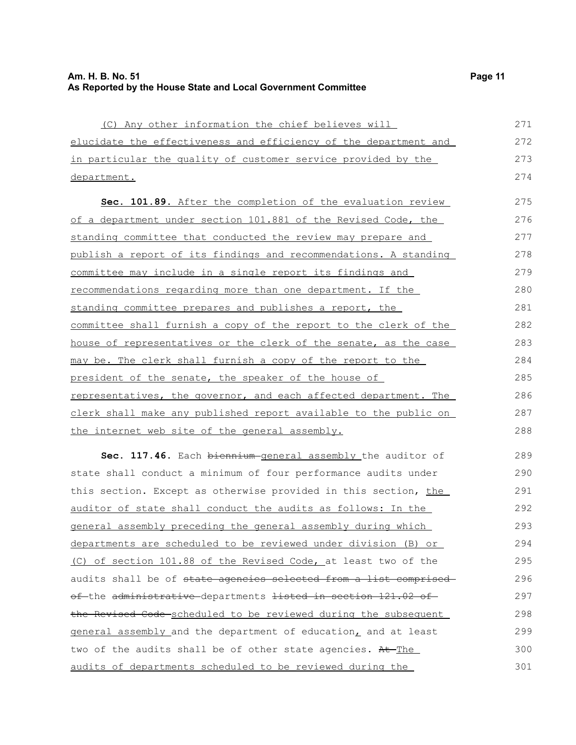| (C) Any other information the chief believes will                                               | 271 |
|-------------------------------------------------------------------------------------------------|-----|
| elucidate the effectiveness and efficiency of the department and                                | 272 |
| in particular the quality of customer service provided by the                                   | 273 |
| department.                                                                                     | 274 |
| Sec. 101.89. After the completion of the evaluation review                                      | 275 |
| of a department under section 101.881 of the Revised Code, the                                  | 276 |
| standing committee that conducted the review may prepare and                                    | 277 |
| publish a report of its findings and recommendations. A standing                                | 278 |
| committee may include in a single report its findings and                                       | 279 |
| recommendations regarding more than one department. If the                                      | 280 |
| standing committee prepares and publishes a report, the                                         | 281 |
| committee shall furnish a copy of the report to the clerk of the                                | 282 |
| house of representatives or the clerk of the senate, as the case                                | 283 |
| may be. The clerk shall furnish a copy of the report to the                                     | 284 |
| president of the senate, the speaker of the house of                                            | 285 |
| representatives, the governor, and each affected department. The                                | 286 |
| clerk shall make any published report available to the public on                                | 287 |
| the internet web site of the general assembly.                                                  | 288 |
| Sec. 117.46. Each biennium general assembly the auditor of                                      | 289 |
| state shall conduct a minimum of four performance audits under                                  | 290 |
| this section. Except as otherwise provided in this section, the                                 | 291 |
| auditor of state shall conduct the audits as follows: In the                                    | 292 |
| general assembly preceding the general assembly during which                                    | 293 |
| departments are scheduled to be reviewed under division (B) or                                  | 294 |
| (C) of section 101.88 of the Revised Code, at least two of the                                  | 295 |
| audits shall be of state agencies selected from a list comprised                                | 296 |
| <del>of </del> the <del>administrative departments <del>listed in section 121.02 of</del></del> | 297 |
| the Revised Code scheduled to be reviewed during the subsequent                                 | 298 |
| general assembly and the department of education, and at least                                  | 299 |
| two of the audits shall be of other state agencies. At The                                      | 300 |
| audits of departments scheduled to be reviewed during the                                       | 301 |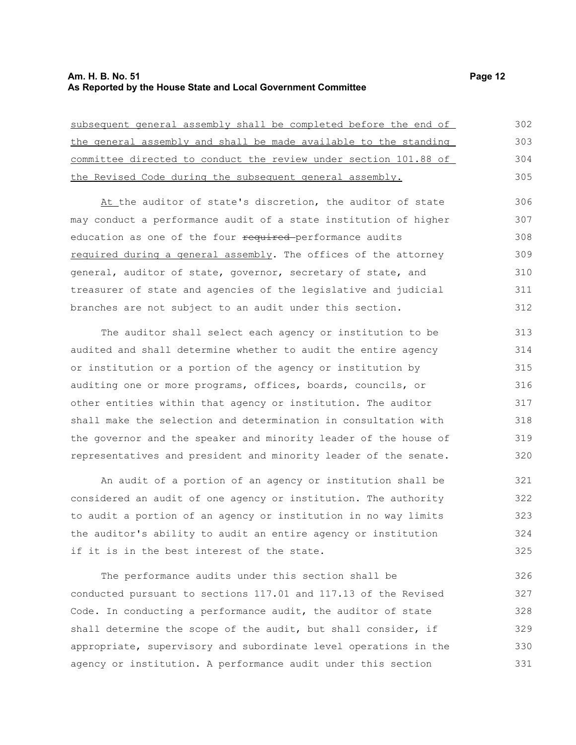#### **Am. H. B. No. 51 Page 12 As Reported by the House State and Local Government Committee**

subsequent general assembly shall be completed before the end of the general assembly and shall be made available to the standing committee directed to conduct the review under section 101.88 of the Revised Code during the subsequent general assembly. 302 303 304 305

At the auditor of state's discretion, the auditor of state may conduct a performance audit of a state institution of higher education as one of the four required-performance audits required during a general assembly. The offices of the attorney general, auditor of state, governor, secretary of state, and treasurer of state and agencies of the legislative and judicial branches are not subject to an audit under this section. 306 307 308 309 310 311 312

The auditor shall select each agency or institution to be audited and shall determine whether to audit the entire agency or institution or a portion of the agency or institution by auditing one or more programs, offices, boards, councils, or other entities within that agency or institution. The auditor shall make the selection and determination in consultation with the governor and the speaker and minority leader of the house of representatives and president and minority leader of the senate. 313 314 315 316 317 318 319 320

An audit of a portion of an agency or institution shall be considered an audit of one agency or institution. The authority to audit a portion of an agency or institution in no way limits the auditor's ability to audit an entire agency or institution if it is in the best interest of the state. 321 322 323 324 325

The performance audits under this section shall be conducted pursuant to sections 117.01 and 117.13 of the Revised Code. In conducting a performance audit, the auditor of state shall determine the scope of the audit, but shall consider, if appropriate, supervisory and subordinate level operations in the agency or institution. A performance audit under this section 326 327 328 329 330 331